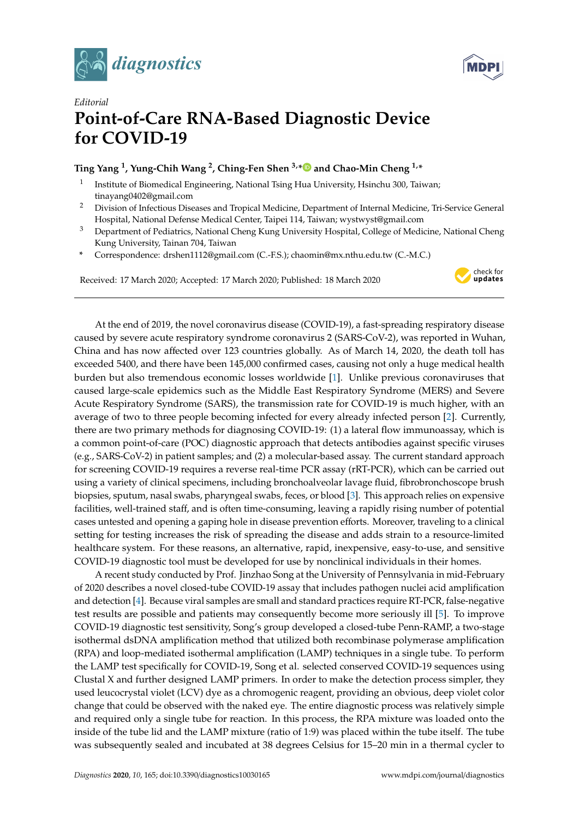



## *Editorial* **Point-of-Care RNA-Based Diagnostic Device for COVID-19**

## **Ting Yang <sup>1</sup> , Yung-Chih Wang <sup>2</sup> , Ching-Fen Shen 3,[\\*](https://orcid.org/0000-0001-5926-0462) and Chao-Min Cheng 1,\***

- 1 Institute of Biomedical Engineering, National Tsing Hua University, Hsinchu 300, Taiwan; tinayang0402@gmail.com
- <sup>2</sup> Division of Infectious Diseases and Tropical Medicine, Department of Internal Medicine, Tri-Service General Hospital, National Defense Medical Center, Taipei 114, Taiwan; wystwyst@gmail.com
- <sup>3</sup> Department of Pediatrics, National Cheng Kung University Hospital, College of Medicine, National Cheng Kung University, Tainan 704, Taiwan
- **\*** Correspondence: drshen1112@gmail.com (C.-F.S.); chaomin@mx.nthu.edu.tw (C.-M.C.)

Received: 17 March 2020; Accepted: 17 March 2020; Published: 18 March 2020



At the end of 2019, the novel coronavirus disease (COVID-19), a fast-spreading respiratory disease caused by severe acute respiratory syndrome coronavirus 2 (SARS-CoV-2), was reported in Wuhan, China and has now affected over 123 countries globally. As of March 14, 2020, the death toll has exceeded 5400, and there have been 145,000 confirmed cases, causing not only a huge medical health burden but also tremendous economic losses worldwide [\[1\]](#page-2-0). Unlike previous coronaviruses that caused large-scale epidemics such as the Middle East Respiratory Syndrome (MERS) and Severe Acute Respiratory Syndrome (SARS), the transmission rate for COVID-19 is much higher, with an average of two to three people becoming infected for every already infected person [\[2\]](#page-2-1). Currently, there are two primary methods for diagnosing COVID-19: (1) a lateral flow immunoassay, which is a common point-of-care (POC) diagnostic approach that detects antibodies against specific viruses (e.g., SARS-CoV-2) in patient samples; and (2) a molecular-based assay. The current standard approach for screening COVID-19 requires a reverse real-time PCR assay (rRT-PCR), which can be carried out using a variety of clinical specimens, including bronchoalveolar lavage fluid, fibrobronchoscope brush biopsies, sputum, nasal swabs, pharyngeal swabs, feces, or blood [\[3\]](#page-2-2). This approach relies on expensive facilities, well-trained staff, and is often time-consuming, leaving a rapidly rising number of potential cases untested and opening a gaping hole in disease prevention efforts. Moreover, traveling to a clinical setting for testing increases the risk of spreading the disease and adds strain to a resource-limited healthcare system. For these reasons, an alternative, rapid, inexpensive, easy-to-use, and sensitive COVID-19 diagnostic tool must be developed for use by nonclinical individuals in their homes.

A recent study conducted by Prof. Jinzhao Song at the University of Pennsylvania in mid-February of 2020 describes a novel closed-tube COVID-19 assay that includes pathogen nuclei acid amplification and detection [\[4\]](#page-2-3). Because viral samples are small and standard practices require RT-PCR, false-negative test results are possible and patients may consequently become more seriously ill [\[5\]](#page-2-4). To improve COVID-19 diagnostic test sensitivity, Song's group developed a closed-tube Penn-RAMP, a two-stage isothermal dsDNA amplification method that utilized both recombinase polymerase amplification (RPA) and loop-mediated isothermal amplification (LAMP) techniques in a single tube. To perform the LAMP test specifically for COVID-19, Song et al. selected conserved COVID-19 sequences using Clustal X and further designed LAMP primers. In order to make the detection process simpler, they used leucocrystal violet (LCV) dye as a chromogenic reagent, providing an obvious, deep violet color change that could be observed with the naked eye. The entire diagnostic process was relatively simple and required only a single tube for reaction. In this process, the RPA mixture was loaded onto the inside of the tube lid and the LAMP mixture (ratio of 1:9) was placed within the tube itself. The tube was subsequently sealed and incubated at 38 degrees Celsius for 15–20 min in a thermal cycler to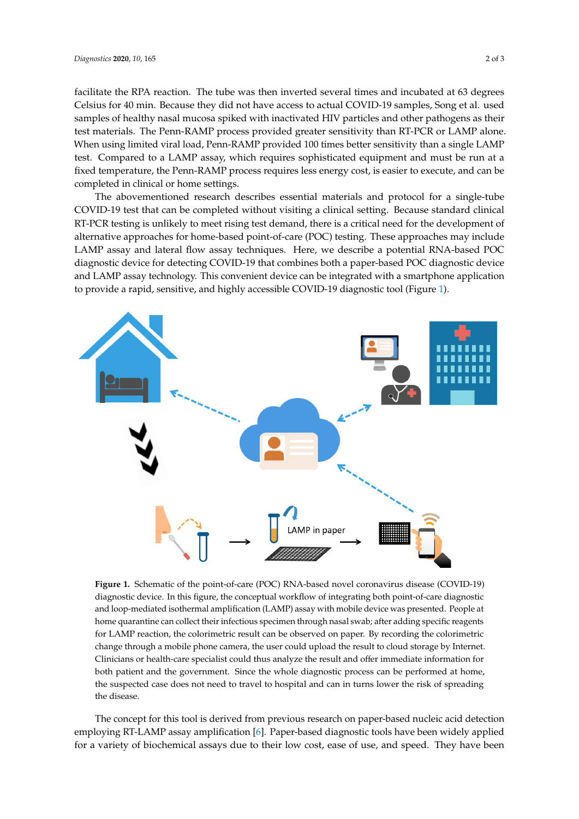facilitate the RPA reaction. The tube was then inverted several times and incubated at 63 degrees Celsius for 40 min. Because they did not have access to actual COVID-19 samples, Song et al. used samples of healthy nasal mucosa spiked with inactivated HIV particles and other pathogens as their test materials. The Penn-RAMP process provided greater sensitivity than RT-PCR or LAMP alone. When using limited viral load, Penn-RAMP provided 100 times better sensitivity than a single LAMP test. Compared to a LAMP assay, which requires sophisticated equipment and must be run at a fixed temperature, the Penn-RAMP process requires less energy cost, is easier to execute, and can be completed in clinical or home settings.

The abovementioned research describes essential materials and protocol for a single-tube The abovementioned research describes essential materials and protocol for a single-tube COVID-19 test that can be completed without visiting a clinical setting. Because standard clinical RT-PCR testing is unlikely to meet rising test demand, there is a critical need for the development of PCR testing is unlikely to meet rising test demand, there is a critical need for the development of alternative approaches for home-based point-of-care (POC) testing. These approaches may include alternative approaches for home-based point-of-care (POC) testing. These approaches may include LAMP assay and lateral flow assay techniques. Here, we describe a potential RNA-based POC LAMP assay and lateral flow assay techniques. Here, we describe a potential RNA-based POC diagnostic device for detecting COVID-19 that combines both a paper-based POC diagnostic device diagnostic device for detecting COVID-19 that combines both a paper-based POC diagnostic device and LAMP assay technology. This convenient device can be integrated with a smartphone application and LAMP assay technology. This convenient device can be integrated with a smartphone application to provide a rapid, sensitive, and highly accessible COVID-19 diagnostic tool (Figure 1). to provide a rapid, sensitive, and highly accessible COVID-19 diagnostic tool (Figure [1](#page-1-0)).

<span id="page-1-0"></span>

diagnostic device. In this figure, the conceptual workflow of integrating both point-of-care diagnostic and loop-mediated isothermal amplification (LAMP) assay with mobile device was presented. People at home quarantine can collect their infectious specimen through nasal swab; after adding specific reagents for LAMP reaction, the colorimetric result can be observed on paper. By recording the colorimetric change through a mobile phone camera, the user could upload the result to cloud storage by Internet. Clinicians or health-care specialist could thus analyze the result and offer immediate information for both patient and the government. Since the whole diagnostic process can be performed at home, the suspected case does not need to travel to hospital and can in turns lower the risk of spreading  $\mu_{\text{p}}$  the disease does not need to travel to travel to travel to travel to travel to the disease the disease **Figure 1.** Schematic of the point-of-care (POC) RNA-based novel coronavirus disease (COVID-19) the disease.

employing RT-LAMP assay amplification [6]. Paper-based diagnostic tools have been widely applied for a variety of biochemical assays due to their low cost, ease of use, and speed. They have been The concept for this tool is derived from previous research on paper-based nucleic acid detection